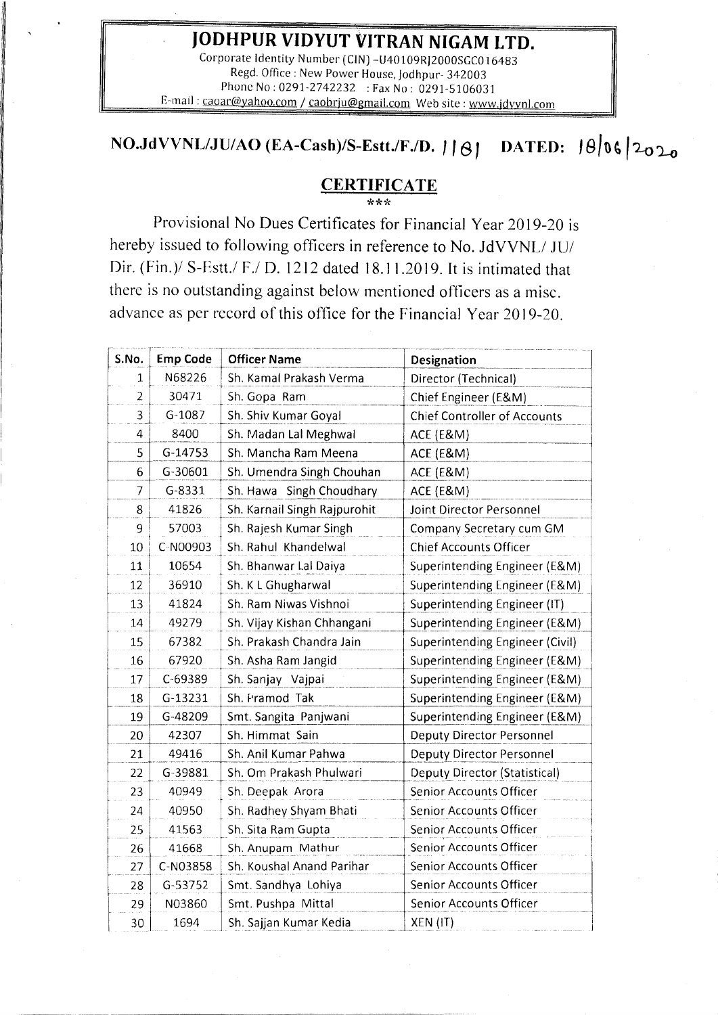#### **JODHPUR VIDYUT VITRAN NIGAM LTD.**

Corporate Identity Number (CIN) -U40109RJ2000SGC016483 Regd. Office: New Power House, Jodhpur- 342003 Phone No: 0291-2742232 : Fax No: 0291-5106031 E-mail : caoar@yahoo.com / [caobrju@gmail.com](mailto:caobrju@gmail.com) Web site : [www.jdvvnl.com](http://www.jdvvnl.com)

# **NO.JdVVNL/JU/AO** (EA-Cash)/S-Estt./F./D. | |  $\theta$ | DATED:  $\theta$ | 06 | 2020

## **CERTIFICA TE**

\*\*\* Provisional No Dues Certificates for Financial Year 2019-20 is hereby issued to following officers in reference to No. JdVVNL/ JU/ Dir. (Fin.)/ S-Estt./ F./ D. 1212 dated 18.11.2019. It is intimated that there is no outstanding against below mentioned officers as a misc. advance as per record of this office for the Financial Year 2019-20.

| S.No.          | <b>Emp Code</b> | <b>Officer Name</b>          | Designation                          |
|----------------|-----------------|------------------------------|--------------------------------------|
| 1              | N68226          | Sh. Kamal Prakash Verma      | Director (Technical)                 |
| $\overline{2}$ | 30471           | Sh. Gopa Ram                 | Chief Engineer (E&M)                 |
| $\overline{3}$ | $G-1087$        | Sh. Shiv Kumar Goyal         | <b>Chief Controller of Accounts</b>  |
| 4              | 8400            | Sh. Madan Lal Meghwal        | ACE (E&M)                            |
| 5              | G-14753         | Sh. Mancha Ram Meena         | ACE (E&M)                            |
| 6              | G-30601         | Sh. Umendra Singh Chouhan    | ACE (E&M)                            |
| $\overline{7}$ | $G - 8331$      | Sh. Hawa Singh Choudhary     | ACE (E&M)                            |
| 8              | 41826           | Sh. Karnail Singh Rajpurohit | Joint Director Personnel             |
| 9              | 57003           | Sh. Rajesh Kumar Singh       | Company Secretary cum GM             |
| 10             | C-N00903        | Sh. Rahul Khandelwal         | <b>Chief Accounts Officer</b>        |
| 11             | 10654           | Sh. Bhanwar Lal Daiya        | Superintending Engineer (E&M)        |
| 12             | 36910           | Sh. K L Ghugharwal           | Superintending Engineer (E&M)        |
| 13             | 41824           | Sh. Ram Niwas Vishnoi        | Superintending Engineer (IT)         |
| 14             | 49279           | Sh. Vijay Kishan Chhangani   | Superintending Engineer (E&M)        |
| 15             | 67382           | Sh. Prakash Chandra Jain     | Superintending Engineer (Civil)      |
| 16             | 67920           | Sh. Asha Ram Jangid          | Superintending Engineer (E&M)        |
| 17             | C-69389         | Sh. Sanjay Vajpai            | Superintending Engineer (E&M)        |
| 18             | G-13231         | Sh. Pramod Tak               | Superintending Engineer (E&M)        |
| 19             | G-48209         | Smt. Sangita Panjwani        | Superintending Engineer (E&M)        |
| 20             | 42307           | Sh. Himmat Sain              | <b>Deputy Director Personnel</b>     |
| 21             | 49416           | Sh. Anil Kumar Pahwa         | <b>Deputy Director Personnel</b>     |
| 22             | G-39881         | Sh. Om Prakash Phulwari      | <b>Deputy Director (Statistical)</b> |
| 23             | 40949           | Sh. Deepak Arora             | Senior Accounts Officer              |
| 24             | 40950           | Sh. Radhey Shyam Bhati       | Senior Accounts Officer              |
| 25             | 41563           | Sh. Sita Ram Gupta           | Senior Accounts Officer              |
| 26             | 41668           | Sh. Anupam Mathur            | Senior Accounts Officer              |
| 27             | C-N03858        | Sh. Koushal Anand Parihar    | Senior Accounts Officer              |
| 28             | G-53752         | Smt. Sandhya Lohiya          | Senior Accounts Officer              |
| 29             | N03860          | Smt. Pushpa Mittal           | Senior Accounts Officer              |
| 30             | 1694            | Sh. Sajjan Kumar Kedia       | XEN (IT)                             |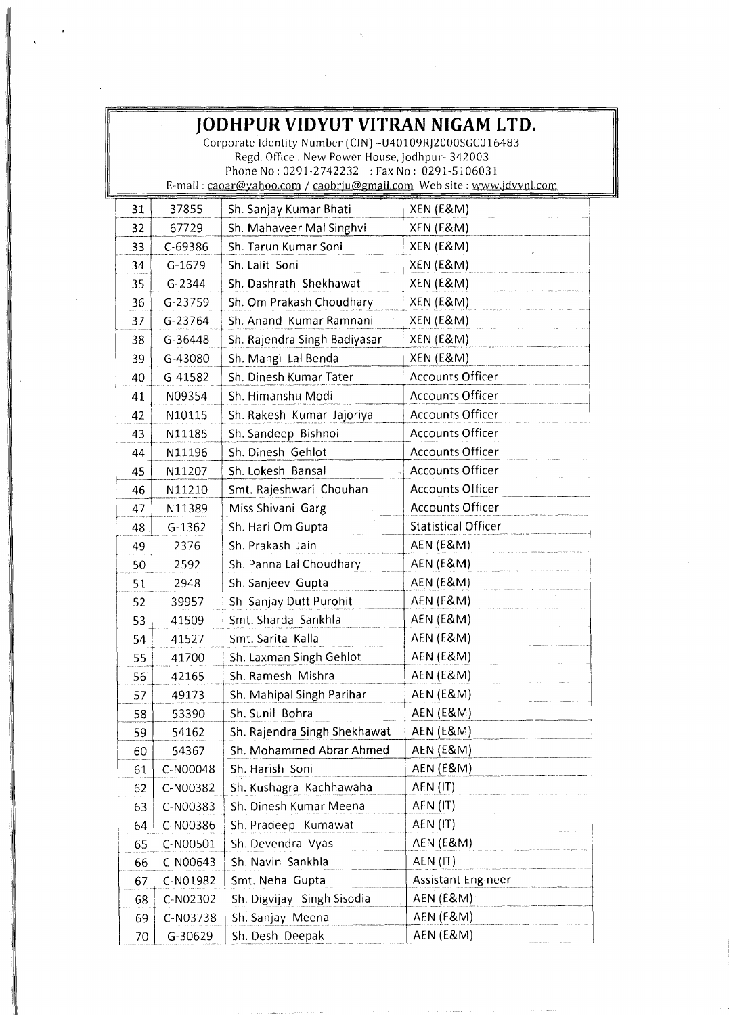| JODHPUR VIDYUT VITRAN NIGAM LTD.<br>Corporate Identity Number (CIN) - U40109RJ2000SGC016483<br>Regd. Office: New Power House, Jodhpur-342003 |             |                                               |                            |  |  |  |
|----------------------------------------------------------------------------------------------------------------------------------------------|-------------|-----------------------------------------------|----------------------------|--|--|--|
|                                                                                                                                              |             | Phone No: 0291-2742232 : Fax No: 0291-5106031 |                            |  |  |  |
| E-mail: caoar@yahoo.com / caobrju@gmail.com Web site: www.jdvynl.com                                                                         |             |                                               |                            |  |  |  |
| 31                                                                                                                                           | 37855       | Sh. Sanjay Kumar Bhati                        | XEN (E&M)                  |  |  |  |
| 32                                                                                                                                           | 67729       | Sh. Mahaveer Mal Singhvi                      | XEN (E&M)                  |  |  |  |
| 33                                                                                                                                           | C-69386     | Sh. Tarun Kumar Soni                          | XEN (E&M)                  |  |  |  |
| 34                                                                                                                                           | $G-1679$    | Sh. Lalit Soni                                | XEN (E&M)                  |  |  |  |
| 35                                                                                                                                           | $G - 2344$  | Sh. Dashrath Shekhawat                        | XEN (E&M)                  |  |  |  |
| 36                                                                                                                                           | $G - 23759$ | Sh. Om Prakash Choudhary                      | XEN (E&M)                  |  |  |  |
| 37                                                                                                                                           | G-23764     | Sh. Anand Kumar Ramnani                       | XEN (E&M)                  |  |  |  |
| 38                                                                                                                                           | G-36448     | Sh. Rajendra Singh Badiyasar                  | XEN (E&M)                  |  |  |  |
| 39                                                                                                                                           | G-43080     | Sh. Mangi Lal Benda                           | XEN (E&M)                  |  |  |  |
| 40                                                                                                                                           | G-41582     | Sh. Dinesh Kumar Tater                        | <b>Accounts Officer</b>    |  |  |  |
| 41                                                                                                                                           | N09354      | Sh. Himanshu Modi                             | <b>Accounts Officer</b>    |  |  |  |
| 42                                                                                                                                           | N10115      | Sh. Rakesh Kumar Jajoriya                     | <b>Accounts Officer</b>    |  |  |  |
| 43                                                                                                                                           | N11185      | Sh. Sandeep Bishnoi                           | <b>Accounts Officer</b>    |  |  |  |
| 44                                                                                                                                           | N11196      | Sh. Dinesh Gehlot                             | <b>Accounts Officer</b>    |  |  |  |
| 45                                                                                                                                           | N11207      | Sh. Lokesh Bansal                             | <b>Accounts Officer</b>    |  |  |  |
| 46                                                                                                                                           | N11210      | Smt. Rajeshwari Chouhan                       | <b>Accounts Officer</b>    |  |  |  |
| 47                                                                                                                                           | N11389      | Miss Shivani Garg                             | <b>Accounts Officer</b>    |  |  |  |
| 48                                                                                                                                           | $G-1362$    | Sh. Hari Om Gupta                             | <b>Statistical Officer</b> |  |  |  |
| 49                                                                                                                                           | 2376        | Sh. Prakash Jain                              | <b>AEN (E&amp;M)</b>       |  |  |  |
| 50                                                                                                                                           | 2592        | Sh. Panna Lal Choudhary                       | <b>AEN (E&amp;M)</b>       |  |  |  |
| 51                                                                                                                                           | 2948        | Sh. Sanjeev Gupta                             | <b>AEN (E&amp;M)</b>       |  |  |  |
| 52                                                                                                                                           | 39957       | Sh. Sanjay Dutt Purohit                       | <b>AEN (E&amp;M)</b>       |  |  |  |
| 53                                                                                                                                           | 41509       | Smt. Sharda Sankhla                           | AEN (E&M)                  |  |  |  |
| 54                                                                                                                                           | 41527       | Smt. Sarita Kalla                             | AEN (E&M)                  |  |  |  |
| 55                                                                                                                                           | 41700       | Sh. Laxman Singh Gehlot                       | AEN (E&M)                  |  |  |  |
| 56                                                                                                                                           | 42165       | Sh. Ramesh Mishra                             | AEN (E&M)                  |  |  |  |
| 57                                                                                                                                           | 49173       | Sh. Mahipal Singh Parihar                     | AEN (E&M)                  |  |  |  |
| 58                                                                                                                                           | 53390       | Sh. Sunil Bohra                               | <b>AEN (E&amp;M)</b>       |  |  |  |
| 59                                                                                                                                           | 54162       | Sh. Rajendra Singh Shekhawat                  | <b>AEN (E&amp;M)</b>       |  |  |  |
| 60                                                                                                                                           | 54367       | Sh. Mohammed Abrar Ahmed                      | <b>AEN (E&amp;M)</b>       |  |  |  |
| 61                                                                                                                                           | C-N00048    | Sh. Harish Soni                               | AEN (E&M)                  |  |  |  |
| 62                                                                                                                                           | C-N00382    | Sh. Kushagra Kachhawaha                       | AEN (IT)                   |  |  |  |
| 63                                                                                                                                           | C-N00383    | Sh. Dinesh Kumar Meena                        | AEN (IT)                   |  |  |  |
| 64                                                                                                                                           | C-N00386    | Sh. Pradeep Kumawat                           | AEN (IT)                   |  |  |  |
| 65                                                                                                                                           | C-N00501    | Sh. Devendra Vyas                             | <b>AEN (E&amp;M)</b>       |  |  |  |
| 66                                                                                                                                           | C-N00643    | Sh. Navin Sankhla                             | AEN (IT)                   |  |  |  |
| 67                                                                                                                                           | C-N01982    | Smt. Neha Gupta                               | <b>Assistant Engineer</b>  |  |  |  |
| 68                                                                                                                                           | C-N02302    | Sh. Digvijay Singh Sisodia                    | AEN (E&M)                  |  |  |  |
| 69                                                                                                                                           | C-N03738    | Sh. Sanjay Meena                              | <b>AEN (E&amp;M)</b>       |  |  |  |
| 70                                                                                                                                           | $G-30629$   | Sh. Desh Deepak                               | <b>AEN (E&amp;M)</b>       |  |  |  |

 $\gamma_1$ 

1